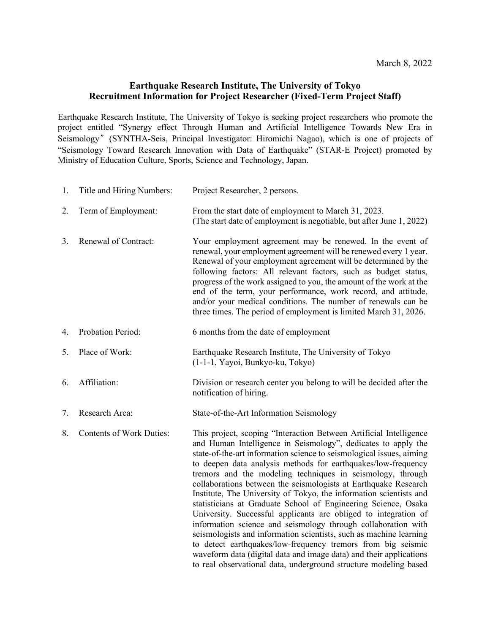## **Earthquake Research Institute, The University of Tokyo Recruitment Information for Project Researcher (Fixed-Term Project Staff)**

Earthquake Research Institute, The University of Tokyo is seeking project researchers who promote the project entitled "Synergy effect Through Human and Artificial Intelligence Towards New Era in Seismology" (SYNTHA-Seis, Principal Investigator: Hiromichi Nagao), which is one of projects of "Seismology Toward Research Innovation with Data of Earthquake" (STAR-E Project) promoted by Ministry of Education Culture, Sports, Science and Technology, Japan.

| 1. | Title and Hiring Numbers:       | Project Researcher, 2 persons.                                                                                                                                                                                                                                                                                                                                                                                                                                                                                                                                                                                                                                                                                                                                                                                                                                                                                                                                            |
|----|---------------------------------|---------------------------------------------------------------------------------------------------------------------------------------------------------------------------------------------------------------------------------------------------------------------------------------------------------------------------------------------------------------------------------------------------------------------------------------------------------------------------------------------------------------------------------------------------------------------------------------------------------------------------------------------------------------------------------------------------------------------------------------------------------------------------------------------------------------------------------------------------------------------------------------------------------------------------------------------------------------------------|
| 2. | Term of Employment:             | From the start date of employment to March 31, 2023.<br>(The start date of employment is negotiable, but after June 1, 2022)                                                                                                                                                                                                                                                                                                                                                                                                                                                                                                                                                                                                                                                                                                                                                                                                                                              |
| 3. | Renewal of Contract:            | Your employment agreement may be renewed. In the event of<br>renewal, your employment agreement will be renewed every 1 year.<br>Renewal of your employment agreement will be determined by the<br>following factors: All relevant factors, such as budget status,<br>progress of the work assigned to you, the amount of the work at the<br>end of the term, your performance, work record, and attitude,<br>and/or your medical conditions. The number of renewals can be<br>three times. The period of employment is limited March 31, 2026.                                                                                                                                                                                                                                                                                                                                                                                                                           |
| 4. | Probation Period:               | 6 months from the date of employment                                                                                                                                                                                                                                                                                                                                                                                                                                                                                                                                                                                                                                                                                                                                                                                                                                                                                                                                      |
| 5. | Place of Work:                  | Earthquake Research Institute, The University of Tokyo<br>(1-1-1, Yayoi, Bunkyo-ku, Tokyo)                                                                                                                                                                                                                                                                                                                                                                                                                                                                                                                                                                                                                                                                                                                                                                                                                                                                                |
| 6. | Affiliation:                    | Division or research center you belong to will be decided after the<br>notification of hiring.                                                                                                                                                                                                                                                                                                                                                                                                                                                                                                                                                                                                                                                                                                                                                                                                                                                                            |
| 7. | Research Area:                  | State-of-the-Art Information Seismology                                                                                                                                                                                                                                                                                                                                                                                                                                                                                                                                                                                                                                                                                                                                                                                                                                                                                                                                   |
| 8. | <b>Contents of Work Duties:</b> | This project, scoping "Interaction Between Artificial Intelligence<br>and Human Intelligence in Seismology", dedicates to apply the<br>state-of-the-art information science to seismological issues, aiming<br>to deepen data analysis methods for earthquakes/low-frequency<br>tremors and the modeling techniques in seismology, through<br>collaborations between the seismologists at Earthquake Research<br>Institute, The University of Tokyo, the information scientists and<br>statisticians at Graduate School of Engineering Science, Osaka<br>University. Successful applicants are obliged to integration of<br>information science and seismology through collaboration with<br>seismologists and information scientists, such as machine learning<br>to detect earthquakes/low-frequency tremors from big seismic<br>waveform data (digital data and image data) and their applications<br>to real observational data, underground structure modeling based |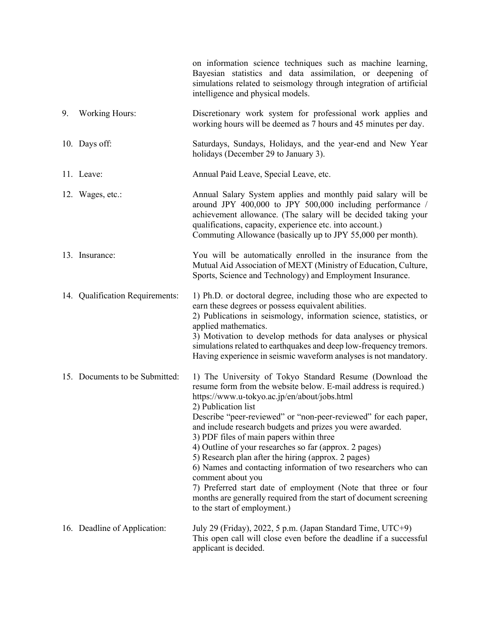|    |                                 | on information science techniques such as machine learning,<br>Bayesian statistics and data assimilation, or deepening of<br>simulations related to seismology through integration of artificial<br>intelligence and physical models.                                                                                                                                                                                                                                                                                                                                                                                                                                                                                                                           |
|----|---------------------------------|-----------------------------------------------------------------------------------------------------------------------------------------------------------------------------------------------------------------------------------------------------------------------------------------------------------------------------------------------------------------------------------------------------------------------------------------------------------------------------------------------------------------------------------------------------------------------------------------------------------------------------------------------------------------------------------------------------------------------------------------------------------------|
| 9. | <b>Working Hours:</b>           | Discretionary work system for professional work applies and<br>working hours will be deemed as 7 hours and 45 minutes per day.                                                                                                                                                                                                                                                                                                                                                                                                                                                                                                                                                                                                                                  |
|    | 10. Days off:                   | Saturdays, Sundays, Holidays, and the year-end and New Year<br>holidays (December 29 to January 3).                                                                                                                                                                                                                                                                                                                                                                                                                                                                                                                                                                                                                                                             |
|    | 11. Leave:                      | Annual Paid Leave, Special Leave, etc.                                                                                                                                                                                                                                                                                                                                                                                                                                                                                                                                                                                                                                                                                                                          |
|    | 12. Wages, etc.:                | Annual Salary System applies and monthly paid salary will be<br>around JPY 400,000 to JPY 500,000 including performance /<br>achievement allowance. (The salary will be decided taking your<br>qualifications, capacity, experience etc. into account.)<br>Commuting Allowance (basically up to JPY 55,000 per month).                                                                                                                                                                                                                                                                                                                                                                                                                                          |
|    | 13. Insurance:                  | You will be automatically enrolled in the insurance from the<br>Mutual Aid Association of MEXT (Ministry of Education, Culture,<br>Sports, Science and Technology) and Employment Insurance.                                                                                                                                                                                                                                                                                                                                                                                                                                                                                                                                                                    |
|    | 14. Qualification Requirements: | 1) Ph.D. or doctoral degree, including those who are expected to<br>earn these degrees or possess equivalent abilities.<br>2) Publications in seismology, information science, statistics, or<br>applied mathematics.<br>3) Motivation to develop methods for data analyses or physical<br>simulations related to earthquakes and deep low-frequency tremors.<br>Having experience in seismic waveform analyses is not mandatory.                                                                                                                                                                                                                                                                                                                               |
|    | 15. Documents to be Submitted:  | 1) The University of Tokyo Standard Resume (Download the<br>resume form from the website below. E-mail address is required.)<br>https://www.u-tokyo.ac.jp/en/about/jobs.html<br>2) Publication list<br>Describe "peer-reviewed" or "non-peer-reviewed" for each paper,<br>and include research budgets and prizes you were awarded.<br>3) PDF files of main papers within three<br>4) Outline of your researches so far (approx. 2 pages)<br>5) Research plan after the hiring (approx. 2 pages)<br>6) Names and contacting information of two researchers who can<br>comment about you<br>7) Preferred start date of employment (Note that three or four<br>months are generally required from the start of document screening<br>to the start of employment.) |
|    | 16. Deadline of Application:    | July 29 (Friday), 2022, 5 p.m. (Japan Standard Time, UTC+9)<br>This open call will close even before the deadline if a successful<br>applicant is decided.                                                                                                                                                                                                                                                                                                                                                                                                                                                                                                                                                                                                      |